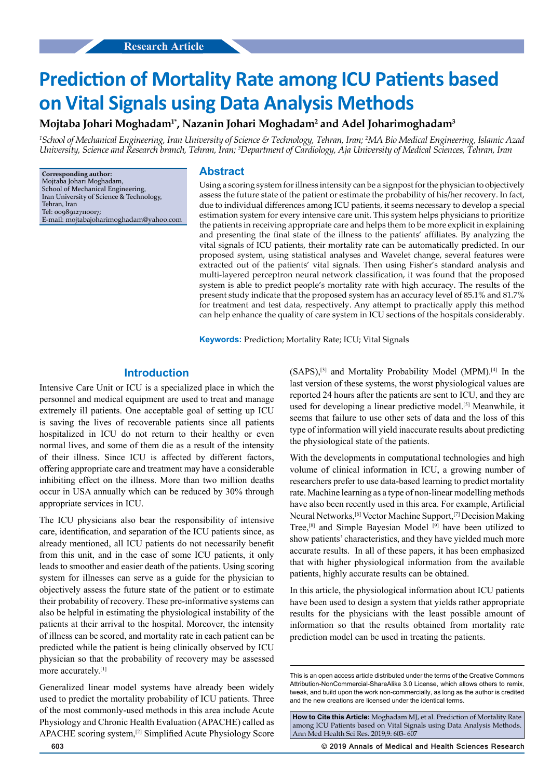# **Prediction of Mortality Rate among ICU Patients based on Vital Signals using Data Analysis Methods**

**Mojtaba Johari Moghadam1\*, Nazanin Johari Moghadam2 and Adel Joharimoghadam3**

*1 School of Mechanical Engineering, Iran University of Science & Technology, Tehran, Iran; 2 MA Bio Medical Engineering, Islamic Azad University, Science and Research branch, Tehran, Iran; 3 Department of Cardiology, Aja University of Medical Sciences, Tehran, Iran*

**Corresponding author:** Mojtaba Johari Moghadam, School of Mechanical Engineering, Iran University of Science & Technology, Tehran, Iran Tel: 00989127110017; E-mail: mojtabajoharimoghadam@yahoo.com

#### **Abstract**

Using a scoring system for illness intensity can be a signpost for the physician to objectively assess the future state of the patient or estimate the probability of his/her recovery. In fact, due to individual differences among ICU patients, it seems necessary to develop a special estimation system for every intensive care unit. This system helps physicians to prioritize the patients in receiving appropriate care and helps them to be more explicit in explaining and presenting the final state of the illness to the patients' affiliates. By analyzing the vital signals of ICU patients, their mortality rate can be automatically predicted. In our proposed system, using statistical analyses and Wavelet change, several features were extracted out of the patients' vital signals. Then using Fisher's standard analysis and multi-layered perceptron neural network classification, it was found that the proposed system is able to predict people's mortality rate with high accuracy. The results of the present study indicate that the proposed system has an accuracy level of 85.1% and 81.7% for treatment and test data, respectively. Any attempt to practically apply this method can help enhance the quality of care system in ICU sections of the hospitals considerably.

**Keywords:** Prediction; Mortality Rate; ICU; Vital Signals

# **Introduction**

Intensive Care Unit or ICU is a specialized place in which the personnel and medical equipment are used to treat and manage extremely ill patients. One acceptable goal of setting up ICU is saving the lives of recoverable patients since all patients hospitalized in ICU do not return to their healthy or even normal lives, and some of them die as a result of the intensity of their illness. Since ICU is affected by different factors, offering appropriate care and treatment may have a considerable inhibiting effect on the illness. More than two million deaths occur in USA annually which can be reduced by 30% through appropriate services in ICU.

The ICU physicians also bear the responsibility of intensive care, identification, and separation of the ICU patients since, as already mentioned, all ICU patients do not necessarily benefit from this unit, and in the case of some ICU patients, it only leads to smoother and easier death of the patients. Using scoring system for illnesses can serve as a guide for the physician to objectively assess the future state of the patient or to estimate their probability of recovery. These pre-informative systems can also be helpful in estimating the physiological instability of the patients at their arrival to the hospital. Moreover, the intensity of illness can be scored, and mortality rate in each patient can be predicted while the patient is being clinically observed by ICU physician so that the probability of recovery may be assessed more accurately.<sup>[1]</sup>

Generalized linear model systems have already been widely used to predict the mortality probability of ICU patients. Three of the most commonly-used methods in this area include Acute Physiology and Chronic Health Evaluation (APACHE) called as APACHE scoring system,[2] Simplified Acute Physiology Score (SAPS),[3] and Mortality Probability Model (MPM).[4] In the last version of these systems, the worst physiological values are reported 24 hours after the patients are sent to ICU, and they are used for developing a linear predictive model.<sup>[5]</sup> Meanwhile, it seems that failure to use other sets of data and the loss of this type of information will yield inaccurate results about predicting the physiological state of the patients.

With the developments in computational technologies and high volume of clinical information in ICU, a growing number of researchers prefer to use data-based learning to predict mortality rate. Machine learning as a type of non-linear modelling methods have also been recently used in this area. For example, Artificial Neural Networks,[6] Vector Machine Support,[7] Decision Making Tree,[8] and Simple Bayesian Model [9] have been utilized to show patients' characteristics, and they have yielded much more accurate results. In all of these papers, it has been emphasized that with higher physiological information from the available patients, highly accurate results can be obtained.

In this article, the physiological information about ICU patients have been used to design a system that yields rather appropriate results for the physicians with the least possible amount of information so that the results obtained from mortality rate prediction model can be used in treating the patients.

**603 © 2019 Annals of Medical and Health Sciences Research** 

This is an open access article distributed under the terms of the Creative Commons Attribution‑NonCommercial‑ShareAlike 3.0 License, which allows others to remix, tweak, and build upon the work non‑commercially, as long as the author is credited and the new creations are licensed under the identical terms.

**How to Cite this Article:** Moghadam MJ, et al. Prediction of Mortality Rate among ICU Patients based on Vital Signals using Data Analysis Methods. Ann Med Health Sci Res. 2019;9: 603- 607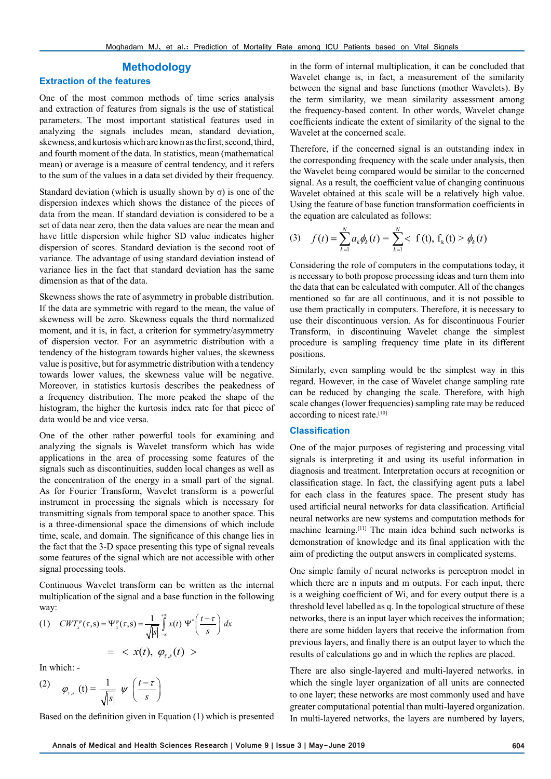# **Methodology**

## **Extraction of the features**

One of the most common methods of time series analysis and extraction of features from signals is the use of statistical parameters. The most important statistical features used in analyzing the signals includes mean, standard deviation, skewness, and kurtosis which are known as the first, second, third, and fourth moment of the data. In statistics, mean (mathematical mean) or average is a measure of central tendency, and it refers to the sum of the values in a data set divided by their frequency.

Standard deviation (which is usually shown by  $\sigma$ ) is one of the dispersion indexes which shows the distance of the pieces of data from the mean. If standard deviation is considered to be a set of data near zero, then the data values are near the mean and have little dispersion while higher SD value indicates higher dispersion of scores. Standard deviation is the second root of variance. The advantage of using standard deviation instead of variance lies in the fact that standard deviation has the same dimension as that of the data.

Skewness shows the rate of asymmetry in probable distribution. If the data are symmetric with regard to the mean, the value of skewness will be zero. Skewness equals the third normalized moment, and it is, in fact, a criterion for symmetry/asymmetry of dispersion vector. For an asymmetric distribution with a tendency of the histogram towards higher values, the skewness value is positive, but for asymmetric distribution with a tendency towards lower values, the skewness value will be negative. Moreover, in statistics kurtosis describes the peakedness of a frequency distribution. The more peaked the shape of the histogram, the higher the kurtosis index rate for that piece of data would be and vice versa.

One of the other rather powerful tools for examining and analyzing the signals is Wavelet transform which has wide applications in the area of processing some features of the signals such as discontinuities, sudden local changes as well as the concentration of the energy in a small part of the signal. As for Fourier Transform, Wavelet transform is a powerful instrument in processing the signals which is necessary for transmitting signals from temporal space to another space. This is a three-dimensional space the dimensions of which include time, scale, and domain. The significance of this change lies in the fact that the 3-D space presenting this type of signal reveals some features of the signal which are not accessible with other signal processing tools.

Continuous Wavelet transform can be written as the internal multiplication of the signal and a base function in the following way:

$$
(1) \quad CWT_x^{\varphi}(\tau,s) = \Psi_x^{\varphi}(\tau,s) = \frac{1}{\sqrt{|s|}} \int_{-\infty}^{+\infty} x(t) \ \Psi^* \left( \frac{t-\tau}{s} \right) dx
$$

$$
= \langle x(t), \ \varphi_{\tau,s}(t) \rangle
$$

In which: -

$$
(2) \qquad \varphi_{\tau,s}(t) = \frac{1}{\sqrt{|s|}} \psi\left(\frac{t-\tau}{s}\right)
$$

Based on the definition given in Equation (1) which is presented

in the form of internal multiplication, it can be concluded that Wavelet change is, in fact, a measurement of the similarity between the signal and base functions (mother Wavelets). By the term similarity, we mean similarity assessment among the frequency-based content. In other words, Wavelet change coefficients indicate the extent of similarity of the signal to the Wavelet at the concerned scale.

Therefore, if the concerned signal is an outstanding index in the corresponding frequency with the scale under analysis, then the Wavelet being compared would be similar to the concerned signal. As a result, the coefficient value of changing continuous Wavelet obtained at this scale will be a relatively high value. Using the feature of base function transformation coefficients in the equation are calculated as follows:

(3) 
$$
f(t) = \sum_{k=1}^{N} a_k \phi_k(t) = \sum_{k=1}^{N} \langle f(t), f_k(t) \rangle \phi_k(t)
$$

Considering the role of computers in the computations today, it is necessary to both propose processing ideas and turn them into the data that can be calculated with computer. All of the changes mentioned so far are all continuous, and it is not possible to use them practically in computers. Therefore, it is necessary to use their discontinuous version. As for discontinuous Fourier Transform, in discontinuing Wavelet change the simplest procedure is sampling frequency time plate in its different positions.

Similarly, even sampling would be the simplest way in this regard. However, in the case of Wavelet change sampling rate can be reduced by changing the scale. Therefore, with high scale changes (lower frequencies) sampling rate may be reduced according to nicest rate.[10]

#### **Classification**

One of the major purposes of registering and processing vital signals is interpreting it and using its useful information in diagnosis and treatment. Interpretation occurs at recognition or classification stage. In fact, the classifying agent puts a label for each class in the features space. The present study has used artificial neural networks for data classification. Artificial neural networks are new systems and computation methods for machine learning.[11] The main idea behind such networks is demonstration of knowledge and its final application with the aim of predicting the output answers in complicated systems.

One simple family of neural networks is perceptron model in which there are n inputs and m outputs. For each input, there is a weighing coefficient of Wi, and for every output there is a threshold level labelled as q. In the topological structure of these networks, there is an input layer which receives the information; there are some hidden layers that receive the information from previous layers, and finally there is an output layer to which the results of calculations go and in which the replies are placed.

There are also single-layered and multi-layered networks. in which the single layer organization of all units are connected to one layer; these networks are most commonly used and have greater computational potential than multi-layered organization. In multi-layered networks, the layers are numbered by layers,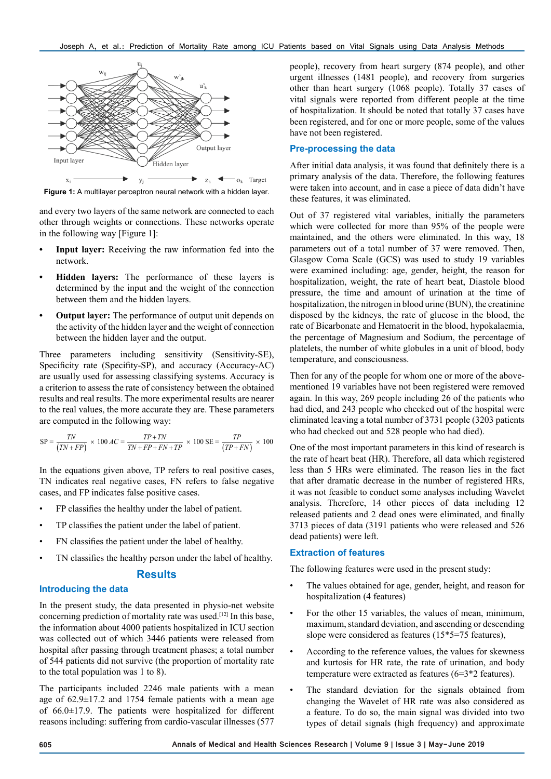

**Figure 1:** A multilayer perceptron neural network with a hidden layer.

and every two layers of the same network are connected to each other through weights or connections. These networks operate in the following way [Figure 1]:

- **Input layer:** Receiving the raw information fed into the network.
- **• Hidden layers:** The performance of these layers is determined by the input and the weight of the connection between them and the hidden layers.
- **• Output layer:** The performance of output unit depends on the activity of the hidden layer and the weight of connection between the hidden layer and the output.

Three parameters including sensitivity (Sensitivity-SE), Specificity rate (Specifity-SP), and accuracy (Accuracy-AC) are usually used for assessing classifying systems. Accuracy is a criterion to assess the rate of consistency between the obtained results and real results. The more experimental results are nearer to the real values, the more accurate they are. These parameters are computed in the following way:

$$
SP = \frac{TN}{(TN + FP)} \times 100 \, AC = \frac{TP + TN}{TN + FP + FN + TP} \times 100 \, SE = \frac{TP}{(TP + FN)} \times 100
$$

In the equations given above, TP refers to real positive cases, TN indicates real negative cases, FN refers to false negative cases, and FP indicates false positive cases.

- FP classifies the healthy under the label of patient.
- TP classifies the patient under the label of patient.
- FN classifies the patient under the label of healthy.
- TN classifies the healthy person under the label of healthy.

## **Results**

#### **Introducing the data**

In the present study, the data presented in physio-net website concerning prediction of mortality rate was used.[12] In this base, the information about 4000 patients hospitalized in ICU section was collected out of which 3446 patients were released from hospital after passing through treatment phases; a total number of 544 patients did not survive (the proportion of mortality rate to the total population was 1 to 8).

The participants included 2246 male patients with a mean age of 62.9±17.2 and 1754 female patients with a mean age of  $66.0 \pm 17.9$ . The patients were hospitalized for different reasons including: suffering from cardio-vascular illnesses (577 people), recovery from heart surgery (874 people), and other urgent illnesses (1481 people), and recovery from surgeries other than heart surgery (1068 people). Totally 37 cases of vital signals were reported from different people at the time of hospitalization. It should be noted that totally 37 cases have been registered, and for one or more people, some of the values have not been registered.

# **Pre-processing the data**

After initial data analysis, it was found that definitely there is a primary analysis of the data. Therefore, the following features were taken into account, and in case a piece of data didn't have these features, it was eliminated.

Out of 37 registered vital variables, initially the parameters which were collected for more than 95% of the people were maintained, and the others were eliminated. In this way, 18 parameters out of a total number of 37 were removed. Then, Glasgow Coma Scale (GCS) was used to study 19 variables were examined including: age, gender, height, the reason for hospitalization, weight, the rate of heart beat, Diastole blood pressure, the time and amount of urination at the time of hospitalization, the nitrogen in blood urine (BUN), the creatinine disposed by the kidneys, the rate of glucose in the blood, the rate of Bicarbonate and Hematocrit in the blood, hypokalaemia, the percentage of Magnesium and Sodium, the percentage of platelets, the number of white globules in a unit of blood, body temperature, and consciousness.

Then for any of the people for whom one or more of the abovementioned 19 variables have not been registered were removed again. In this way, 269 people including 26 of the patients who had died, and 243 people who checked out of the hospital were eliminated leaving a total number of 3731 people (3203 patients who had checked out and 528 people who had died).

One of the most important parameters in this kind of research is the rate of heart beat (HR). Therefore, all data which registered less than 5 HRs were eliminated. The reason lies in the fact that after dramatic decrease in the number of registered HRs, it was not feasible to conduct some analyses including Wavelet analysis. Therefore, 14 other pieces of data including 12 released patients and 2 dead ones were eliminated, and finally 3713 pieces of data (3191 patients who were released and 526 dead patients) were left.

#### **Extraction of features**

The following features were used in the present study:

- The values obtained for age, gender, height, and reason for hospitalization (4 features)
- For the other 15 variables, the values of mean, minimum, maximum, standard deviation, and ascending or descending slope were considered as features (15\*5=75 features),
- According to the reference values, the values for skewness and kurtosis for HR rate, the rate of urination, and body temperature were extracted as features (6=3\*2 features).
- The standard deviation for the signals obtained from changing the Wavelet of HR rate was also considered as a feature. To do so, the main signal was divided into two types of detail signals (high frequency) and approximate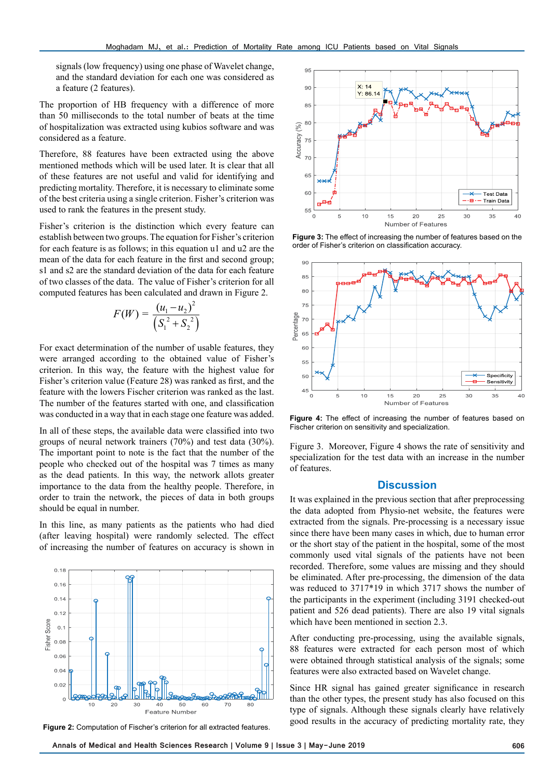signals (low frequency) using one phase of Wavelet change, and the standard deviation for each one was considered as a feature (2 features).

The proportion of HB frequency with a difference of more than 50 milliseconds to the total number of beats at the time of hospitalization was extracted using kubios software and was considered as a feature.

Therefore, 88 features have been extracted using the above mentioned methods which will be used later. It is clear that all of these features are not useful and valid for identifying and predicting mortality. Therefore, it is necessary to eliminate some of the best criteria using a single criterion. Fisher's criterion was used to rank the features in the present study.

Fisher's criterion is the distinction which every feature can establish between two groups. The equation for Fisher's criterion for each feature is as follows; in this equation u1 and u2 are the mean of the data for each feature in the first and second group; s1 and s2 are the standard deviation of the data for each feature of two classes of the data. The value of Fisher's criterion for all computed features has been calculated and drawn in Figure 2.

$$
F(W) = \frac{(u_1 - u_2)^2}{\left(S_1^2 + S_2^2\right)}
$$

For exact determination of the number of usable features, they were arranged according to the obtained value of Fisher's criterion. In this way, the feature with the highest value for Fisher's criterion value (Feature 28) was ranked as first, and the feature with the lowers Fischer criterion was ranked as the last. The number of the features started with one, and classification was conducted in a way that in each stage one feature was added.

In all of these steps, the available data were classified into two groups of neural network trainers (70%) and test data (30%). The important point to note is the fact that the number of the people who checked out of the hospital was 7 times as many as the dead patients. In this way, the network allots greater importance to the data from the healthy people. Therefore, in order to train the network, the pieces of data in both groups should be equal in number.

In this line, as many patients as the patients who had died (after leaving hospital) were randomly selected. The effect of increasing the number of features on accuracy is shown in





**Figure 3:** The effect of increasing the number of features based on the order of Fisher's criterion on classification accuracy.



**Figure 4:** The effect of increasing the number of features based on Fischer criterion on sensitivity and specialization.

Figure 3. Moreover, Figure 4 shows the rate of sensitivity and specialization for the test data with an increase in the number of features.

#### **Discussion**

It was explained in the previous section that after preprocessing the data adopted from Physio-net website, the features were extracted from the signals. Pre-processing is a necessary issue since there have been many cases in which, due to human error or the short stay of the patient in the hospital, some of the most commonly used vital signals of the patients have not been recorded. Therefore, some values are missing and they should be eliminated. After pre-processing, the dimension of the data was reduced to 3717\*19 in which 3717 shows the number of the participants in the experiment (including 3191 checked-out patient and 526 dead patients). There are also 19 vital signals which have been mentioned in section 2.3.

After conducting pre-processing, using the available signals, 88 features were extracted for each person most of which were obtained through statistical analysis of the signals; some features were also extracted based on Wavelet change.

Since HR signal has gained greater significance in research than the other types, the present study has also focused on this type of signals. Although these signals clearly have relatively good results in the accuracy of predicting mortality rate, they **Figure 2:** Computation of Fischer's criterion for all extracted features.